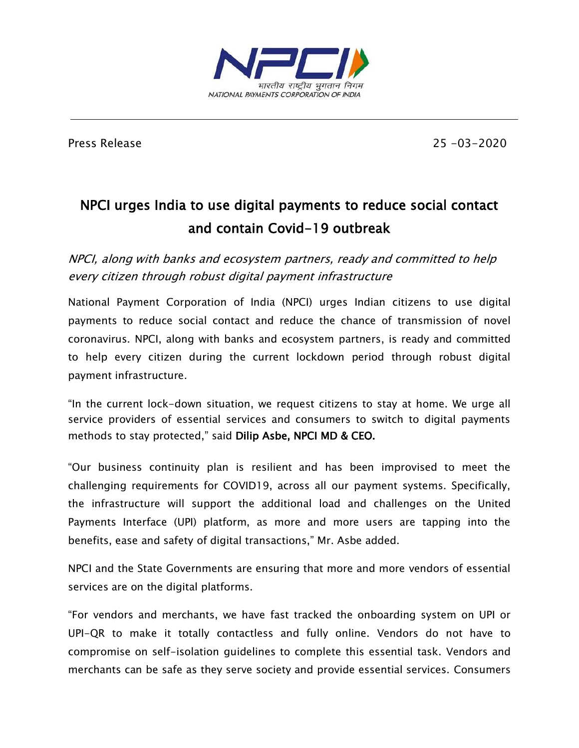

Press Release 25 -03-2020

## NPCI urges India to use digital payments to reduce social contact and contain Covid-19 outbreak

NPCI, along with banks and ecosystem partners, ready and committed to help every citizen through robust digital payment infrastructure

National Payment Corporation of India (NPCI) urges Indian citizens to use digital payments to reduce social contact and reduce the chance of transmission of novel coronavirus. NPCI, along with banks and ecosystem partners, is ready and committed to help every citizen during the current lockdown period through robust digital payment infrastructure.

"In the current lock-down situation, we request citizens to stay at home. We urge all service providers of essential services and consumers to switch to digital payments methods to stay protected," said Dilip Asbe, NPCI MD & CEO.

"Our business continuity plan is resilient and has been improvised to meet the challenging requirements for COVID19, across all our payment systems. Specifically, the infrastructure will support the additional load and challenges on the United Payments Interface (UPI) platform, as more and more users are tapping into the benefits, ease and safety of digital transactions," Mr. Asbe added.

NPCI and the State Governments are ensuring that more and more vendors of essential services are on the digital platforms.

"For vendors and merchants, we have fast tracked the onboarding system on UPI or UPI-QR to make it totally contactless and fully online. Vendors do not have to compromise on self-isolation guidelines to complete this essential task. Vendors and merchants can be safe as they serve society and provide essential services. Consumers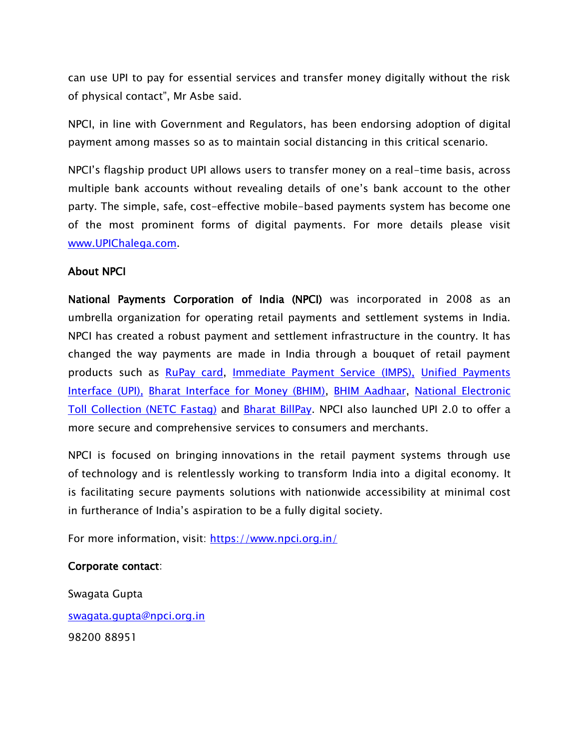can use UPI to pay for essential services and transfer money digitally without the risk of physical contact", Mr Asbe said.

NPCI, in line with Government and Regulators, has been endorsing adoption of digital payment among masses so as to maintain social distancing in this critical scenario.

NPCI's flagship product UPI allows users to transfer money on a real-time basis, across multiple bank accounts without revealing details of one's bank account to the other party. The simple, safe, cost-effective mobile-based payments system has become one of the most prominent forms of digital payments. For more details please visit [www.UPIChalega.com.](http://www.upichalega.com/)

## About NPCI

National Payments Corporation of India (NPCI) was incorporated in 2008 as an umbrella organization for operating retail payments and settlement systems in India. NPCI has created a robust payment and settlement infrastructure in the country. It has changed the way payments are made in India through a bouquet of retail payment products such as [RuPay card,](https://www.npci.org.in/product-overview/rupay-product-overview) [Immediate Payment Service \(IMPS\),](https://www.npci.org.in/product-overview/imps-product-overview) [Unified Payments](https://www.npci.org.in/product-overview/upi-product-overview)  [Interface \(UPI\),](https://www.npci.org.in/product-overview/upi-product-overview) [Bharat Interface for Money \(BHIM\),](https://www.npci.org.in/product-overview/bhim-product-overview) [BHIM Aadhaar,](https://www.npci.org.in/product-overview/bhim-aadhaar) [National Electronic](https://www.npci.org.in/netc)  [Toll Collection \(NETC](https://www.npci.org.in/netc) Fastag) and **Bharat BillPay**. NPCI also launched UPI 2.0 to offer a more secure and comprehensive services to consumers and merchants.

NPCI is focused on bringing innovations in the retail payment systems through use of technology and is relentlessly working to transform India into a digital economy. It is facilitating secure payments solutions with nationwide accessibility at minimal cost in furtherance of India's aspiration to be a fully digital society.

For more information, visit: <https://www.npci.org.in/>

## Corporate contact:

Swagata Gupta [swagata.gupta@npci.org.in](mailto:swagata.gupta@npci.org.in/) 98200 88951